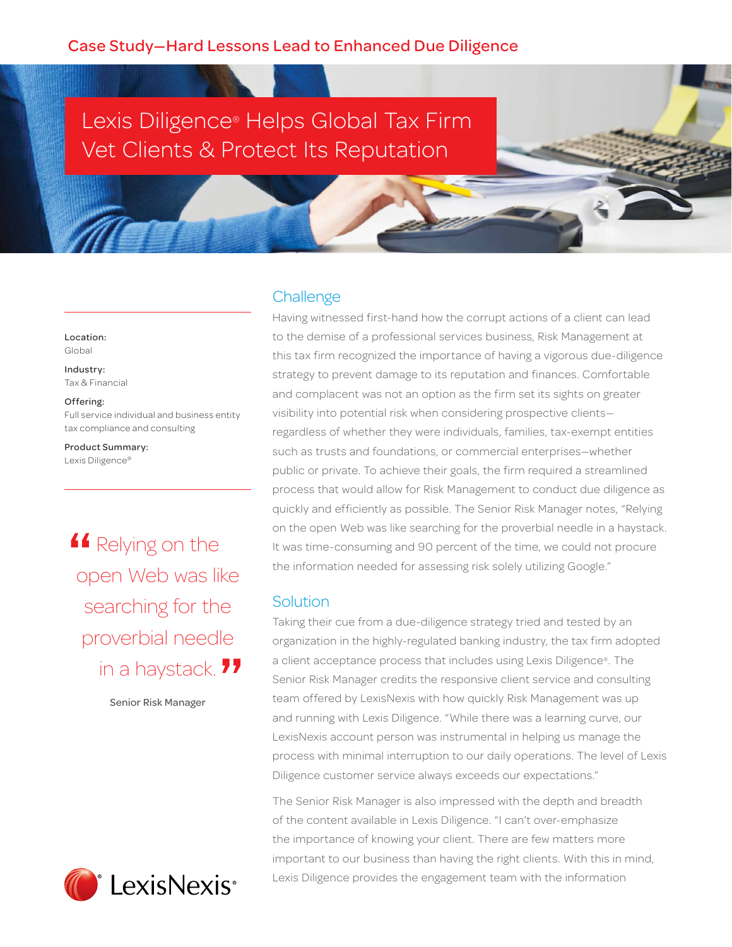# Lexis Diligence® Helps Global Tax Firm Vet Clients & Protect Its Reputation

Location: Global

Industry: Tax & Financial

#### Offering:

Full service individual and business entity tax compliance and consulting

Product Summary: Lexis Diligence®

**4** Relying on the open Web was lil open Web was like searching for the proverbial needle in a haystack. 11<br><sup>Senior Risk Manager</sup>

Senior Risk Manager



### **Challenge**

Having witnessed first-hand how the corrupt actions of a client can lead to the demise of a professional services business, Risk Management at this tax firm recognized the importance of having a vigorous due-diligence strategy to prevent damage to its reputation and finances. Comfortable and complacent was not an option as the firm set its sights on greater visibility into potential risk when considering prospective clients regardless of whether they were individuals, families, tax-exempt entities such as trusts and foundations, or commercial enterprises—whether public or private. To achieve their goals, the firm required a streamlined process that would allow for Risk Management to conduct due diligence as quickly and efficiently as possible. The Senior Risk Manager notes, "Relying on the open Web was like searching for the proverbial needle in a haystack. It was time-consuming and 90 percent of the time, we could not procure the information needed for assessing risk solely utilizing Google."

#### **Solution**

Taking their cue from a due-diligence strategy tried and tested by an organization in the highly-regulated banking industry, the tax firm adopted a client acceptance process that includes using Lexis Diligence®. The Senior Risk Manager credits the responsive client service and consulting team offered by LexisNexis with how quickly Risk Management was up and running with Lexis Diligence. "While there was a learning curve, our LexisNexis account person was instrumental in helping us manage the process with minimal interruption to our daily operations. The level of Lexis Diligence customer service always exceeds our expectations."

The Senior Risk Manager is also impressed with the depth and breadth of the content available in Lexis Diligence. "I can't over-emphasize the importance of knowing your client. There are few matters more important to our business than having the right clients. With this in mind, Lexis Diligence provides the engagement team with the information